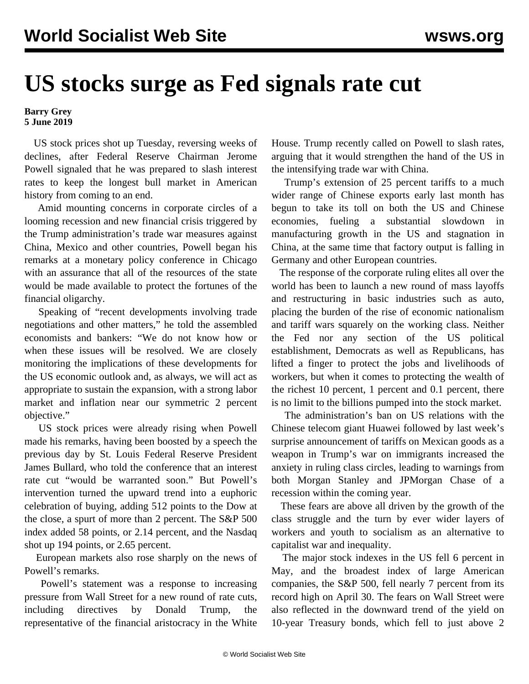## **US stocks surge as Fed signals rate cut**

## **Barry Grey 5 June 2019**

 US stock prices shot up Tuesday, reversing weeks of declines, after Federal Reserve Chairman Jerome Powell signaled that he was prepared to slash interest rates to keep the longest bull market in American history from coming to an end.

 Amid mounting concerns in corporate circles of a looming recession and new financial crisis triggered by the Trump administration's trade war measures against China, Mexico and other countries, Powell began his remarks at a monetary policy conference in Chicago with an assurance that all of the resources of the state would be made available to protect the fortunes of the financial oligarchy.

 Speaking of "recent developments involving trade negotiations and other matters," he told the assembled economists and bankers: "We do not know how or when these issues will be resolved. We are closely monitoring the implications of these developments for the US economic outlook and, as always, we will act as appropriate to sustain the expansion, with a strong labor market and inflation near our symmetric 2 percent objective."

 US stock prices were already rising when Powell made his remarks, having been boosted by a speech the previous day by St. Louis Federal Reserve President James Bullard, who told the conference that an interest rate cut "would be warranted soon." But Powell's intervention turned the upward trend into a euphoric celebration of buying, adding 512 points to the Dow at the close, a spurt of more than 2 percent. The S&P 500 index added 58 points, or 2.14 percent, and the Nasdaq shot up 194 points, or 2.65 percent.

 European markets also rose sharply on the news of Powell's remarks.

 Powell's statement was a response to increasing pressure from Wall Street for a new round of rate cuts, including directives by Donald Trump, the representative of the financial aristocracy in the White

House. Trump recently called on Powell to slash rates, arguing that it would strengthen the hand of the US in the intensifying trade war with China.

 Trump's extension of 25 percent tariffs to a much wider range of Chinese exports early last month has begun to take its toll on both the US and Chinese economies, fueling a substantial slowdown in manufacturing growth in the US and stagnation in China, at the same time that factory output is falling in Germany and other European countries.

 The response of the corporate ruling elites all over the world has been to launch a new round of mass layoffs and restructuring in basic industries such as auto, placing the burden of the rise of economic nationalism and tariff wars squarely on the working class. Neither the Fed nor any section of the US political establishment, Democrats as well as Republicans, has lifted a finger to protect the jobs and livelihoods of workers, but when it comes to protecting the wealth of the richest 10 percent, 1 percent and 0.1 percent, there is no limit to the billions pumped into the stock market.

 The administration's ban on US relations with the Chinese telecom giant Huawei followed by last week's surprise announcement of tariffs on Mexican goods as a weapon in Trump's war on immigrants increased the anxiety in ruling class circles, leading to warnings from both Morgan Stanley and JPMorgan Chase of a recession within the coming year.

 These fears are above all driven by the growth of the class struggle and the turn by ever wider layers of workers and youth to socialism as an alternative to capitalist war and inequality.

 The major stock indexes in the US fell 6 percent in May, and the broadest index of large American companies, the S&P 500, fell nearly 7 percent from its record high on April 30. The fears on Wall Street were also reflected in the downward trend of the yield on 10-year Treasury bonds, which fell to just above 2